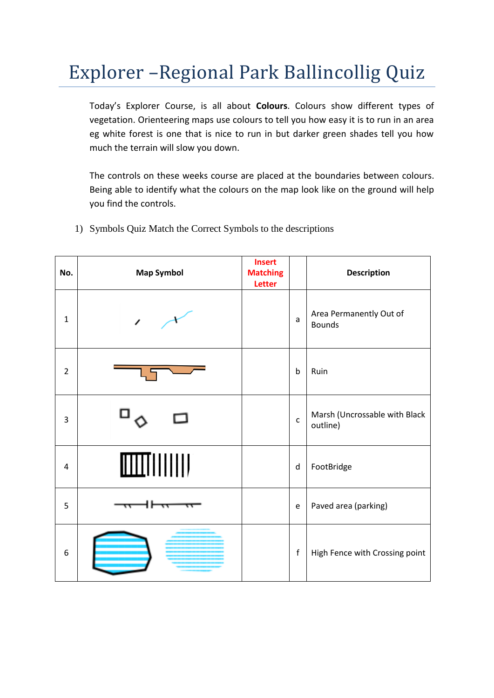## Explorer –Regional Park Ballincollig Quiz

Today's Explorer Course, is all about **Colours**. Colours show different types of vegetation. Orienteering maps use colours to tell you how easy it is to run in an area eg white forest is one that is nice to run in but darker green shades tell you how much the terrain will slow you down.

The controls on these weeks course are placed at the boundaries between colours. Being able to identify what the colours on the map look like on the ground will help you find the controls.

| No.            | <b>Map Symbol</b> | <b>Insert</b><br><b>Matching</b><br>Letter |              | <b>Description</b>                        |
|----------------|-------------------|--------------------------------------------|--------------|-------------------------------------------|
| $\mathbf{1}$   |                   |                                            | a            | Area Permanently Out of<br><b>Bounds</b>  |
| $\overline{2}$ |                   |                                            | $\mathsf b$  | Ruin                                      |
| 3              |                   |                                            | $\mathsf{C}$ | Marsh (Uncrossable with Black<br>outline) |
| 4              |                   |                                            | $\sf d$      | FootBridge                                |
| 5              |                   |                                            | e            | Paved area (parking)                      |
| 6              |                   |                                            | $\mathsf f$  | High Fence with Crossing point            |

1) Symbols Quiz Match the Correct Symbols to the descriptions